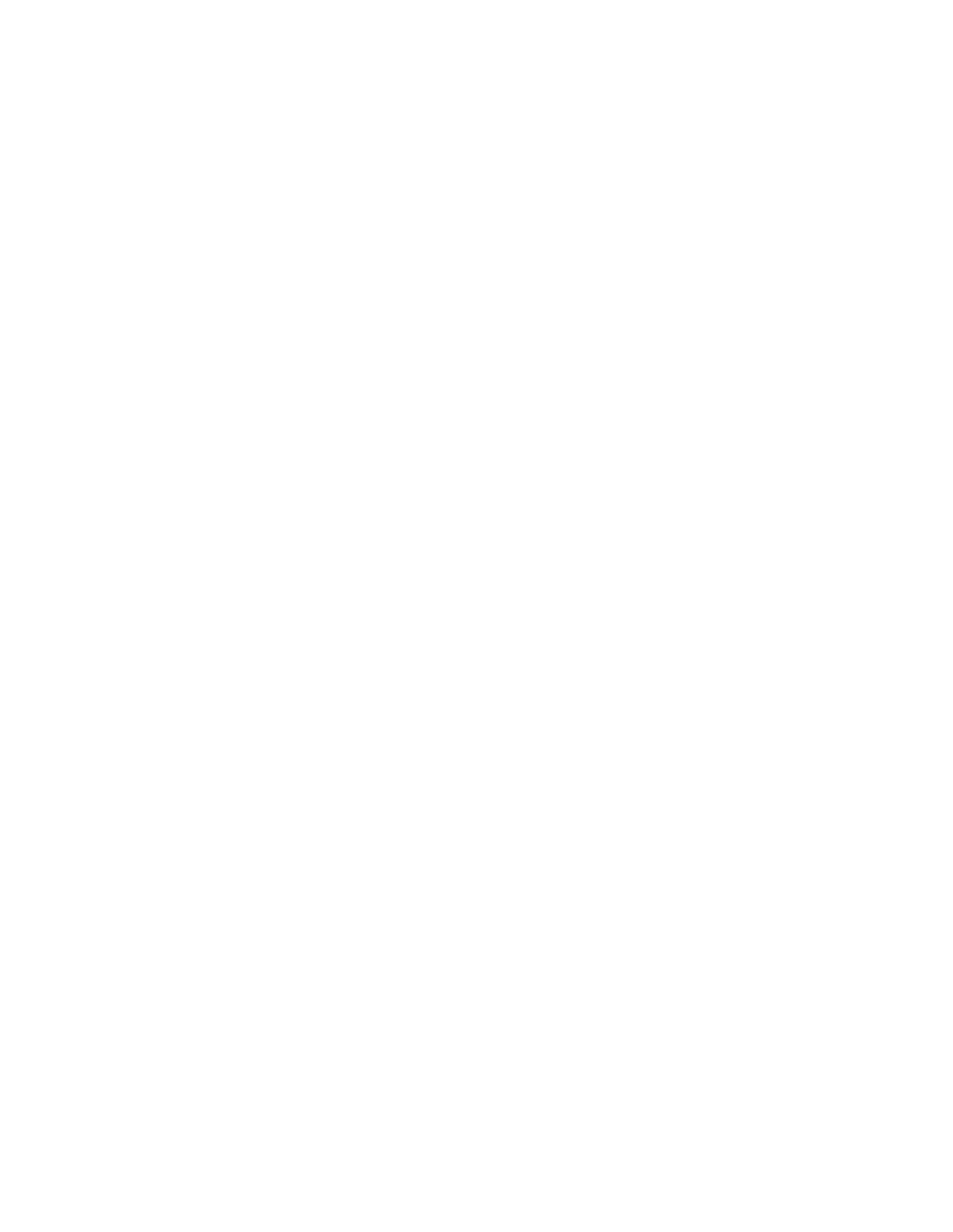#### THE BENEFITS OF A HYBRID SIMULATION HUB TO DEAL WITH PANDEMICS

Jennifer I. Lather Tillal Eldabi

School of Architectural Engineering and Construction Department of Business Transformation University of Nebraska - Lincoln Surrey Business School<br>1110 S 67th St. Suite 107 University of Surrey  $1110 S 67th St. Suite 107$ Omaha, NE, 68182, USA Guildford, Surrey, GU2 7XH, UK

## ABSTRACT

The advent of COVID-19 has shaken the whole world to its core. With many decision makers at all levels trying to tackle the spread of the disease and the economic ramification, the modeling and simulation is of paramount importance as part of this effort. Given the intricacy and interconnectedness of the problem, hybrid simulation (HS) seems to provide better support for modelers given its ability to connect multiple decision categories. However, HS models are known to take longer to build while requiring multiple expertise, which does not match the rapid impacts of COVID-19. To allow for faster means for developing such models, in this paper, we call for the establishment of a hub for rapid HS model development through global collaboration of simulation modelers. In the lack of such hubs, we demonstrate how a HS model could be built using publicly available single-method models.

## 1 INTRODUCTION

Pandemics are known to occur since the beginning of time. Over centuries pandemics killed millions of people at any one time. The Black Death pandemic, which took place in the 14th century, recorded by far the highest rate of deaths with approximately 200 million people losing their lives between 1,347 and 1,351 (DeWitte 2014). The rapid advancement of medical knowledge and technology helped the eradication (and/or drastically reducing the impact) of pandemics. Such advancement is supported by better hygiene, availability of vaccines and overall community better awareness of healthy lifestyles. This culminated in significant successes in the last 50 years against many pandemics. However, the recent rise of COVID-19 virus opened the lid on some further dimensions that were not exposed before. That is, and although the spread of the disease can be predicted with great accuracy, there exist a number of factors that allowed for the unprecedented expansion of the virus and the total disruption that came with it. The first dimension is that the interconnectedness of metropolitan areas and the expansion of high-rise buildings coupled with congested public transport networks, created large areas of crowded places leading to faster contagion despite cleaner environments in cities. Secondly, travelling between cities and beyond national borders, thanks to the abundance of affordable air travels, allowed for the speedy international spread of the disease. Thirdly, and quite ironically, the accumulation of knowledge and tools to tackle pandemics such as isolation and lock-downs, created huge economic challenges. Therefore, the advent of COVID-19 led to an unprecedented competition of decisions between saving overwhelmed healthcare systems and energizing a paralyzed economic productivity within a widely interconnected context. This in turns gave rise to the immediate role of modeling and simulation in supporting such decisions more than ever. There are many articles that show the benefits of modeling during pandemic (Ferguson et al. 2005; Epstein 2009; Bosch 2019; Currie et al. 2020). Whilst earlier research focuses on directly predicting the spread of the epidemic,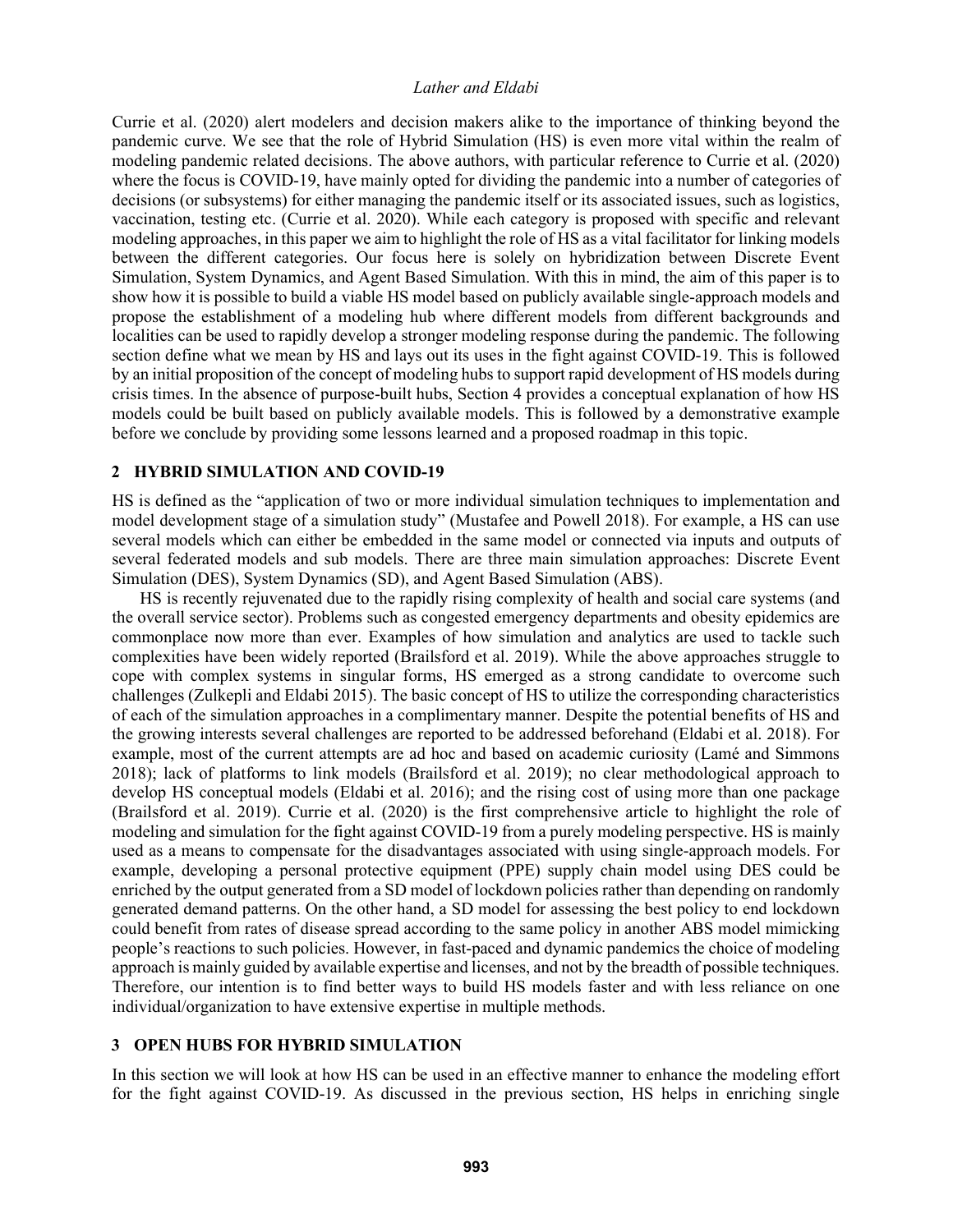Currie et al. (2020) alert modelers and decision makers alike to the importance of thinking beyond the pandemic curve. We see that the role of Hybrid Simulation (HS) is even more vital within the realm of modeling pandemic related decisions. The above authors, with particular reference to Currie et al. (2020) where the focus is COVID-19, have mainly opted for dividing the pandemic into a number of categories of decisions (or subsystems) for either managing the pandemic itself or its associated issues, such as logistics, vaccination, testing etc. (Currie et al. 2020). While each category is proposed with specific and relevant modeling approaches, in this paper we aim to highlight the role of HS as a vital facilitator for linking models between the different categories. Our focus here is solely on hybridization between Discrete Event Simulation, System Dynamics, and Agent Based Simulation. With this in mind, the aim of this paper is to show how it is possible to build a viable HS model based on publicly available single-approach models and propose the establishment of a modeling hub where different models from different backgrounds and localities can be used to rapidly develop a stronger modeling response during the pandemic. The following section define what we mean by HS and lays out its uses in the fight against COVID-19. This is followed by an initial proposition of the concept of modeling hubs to support rapid development of HS models during crisis times. In the absence of purpose-built hubs, Section 4 provides a conceptual explanation of how HS models could be built based on publicly available models. This is followed by a demonstrative example before we conclude by providing some lessons learned and a proposed roadmap in this topic.

#### 2 HYBRID SIMULATION AND COVID-19

HS is defined as the "application of two or more individual simulation techniques to implementation and model development stage of a simulation study" (Mustafee and Powell 2018). For example, a HS can use several models which can either be embedded in the same model or connected via inputs and outputs of several federated models and sub models. There are three main simulation approaches: Discrete Event Simulation (DES), System Dynamics (SD), and Agent Based Simulation (ABS).

 HS is recently rejuvenated due to the rapidly rising complexity of health and social care systems (and the overall service sector). Problems such as congested emergency departments and obesity epidemics are commonplace now more than ever. Examples of how simulation and analytics are used to tackle such complexities have been widely reported (Brailsford et al. 2019). While the above approaches struggle to cope with complex systems in singular forms, HS emerged as a strong candidate to overcome such challenges (Zulkepli and Eldabi 2015). The basic concept of HS to utilize the corresponding characteristics of each of the simulation approaches in a complimentary manner. Despite the potential benefits of HS and the growing interests several challenges are reported to be addressed beforehand (Eldabi et al. 2018). For example, most of the current attempts are ad hoc and based on academic curiosity (Lamé and Simmons 2018); lack of platforms to link models (Brailsford et al. 2019); no clear methodological approach to develop HS conceptual models (Eldabi et al. 2016); and the rising cost of using more than one package (Brailsford et al. 2019). Currie et al. (2020) is the first comprehensive article to highlight the role of modeling and simulation for the fight against COVID-19 from a purely modeling perspective. HS is mainly used as a means to compensate for the disadvantages associated with using single-approach models. For example, developing a personal protective equipment (PPE) supply chain model using DES could be enriched by the output generated from a SD model of lockdown policies rather than depending on randomly generated demand patterns. On the other hand, a SD model for assessing the best policy to end lockdown could benefit from rates of disease spread according to the same policy in another ABS model mimicking people's reactions to such policies. However, in fast-paced and dynamic pandemics the choice of modeling approach is mainly guided by available expertise and licenses, and not by the breadth of possible techniques. Therefore, our intention is to find better ways to build HS models faster and with less reliance on one individual/organization to have extensive expertise in multiple methods.

#### 3 OPEN HUBS FOR HYBRID SIMULATION

In this section we will look at how HS can be used in an effective manner to enhance the modeling effort for the fight against COVID-19. As discussed in the previous section, HS helps in enriching single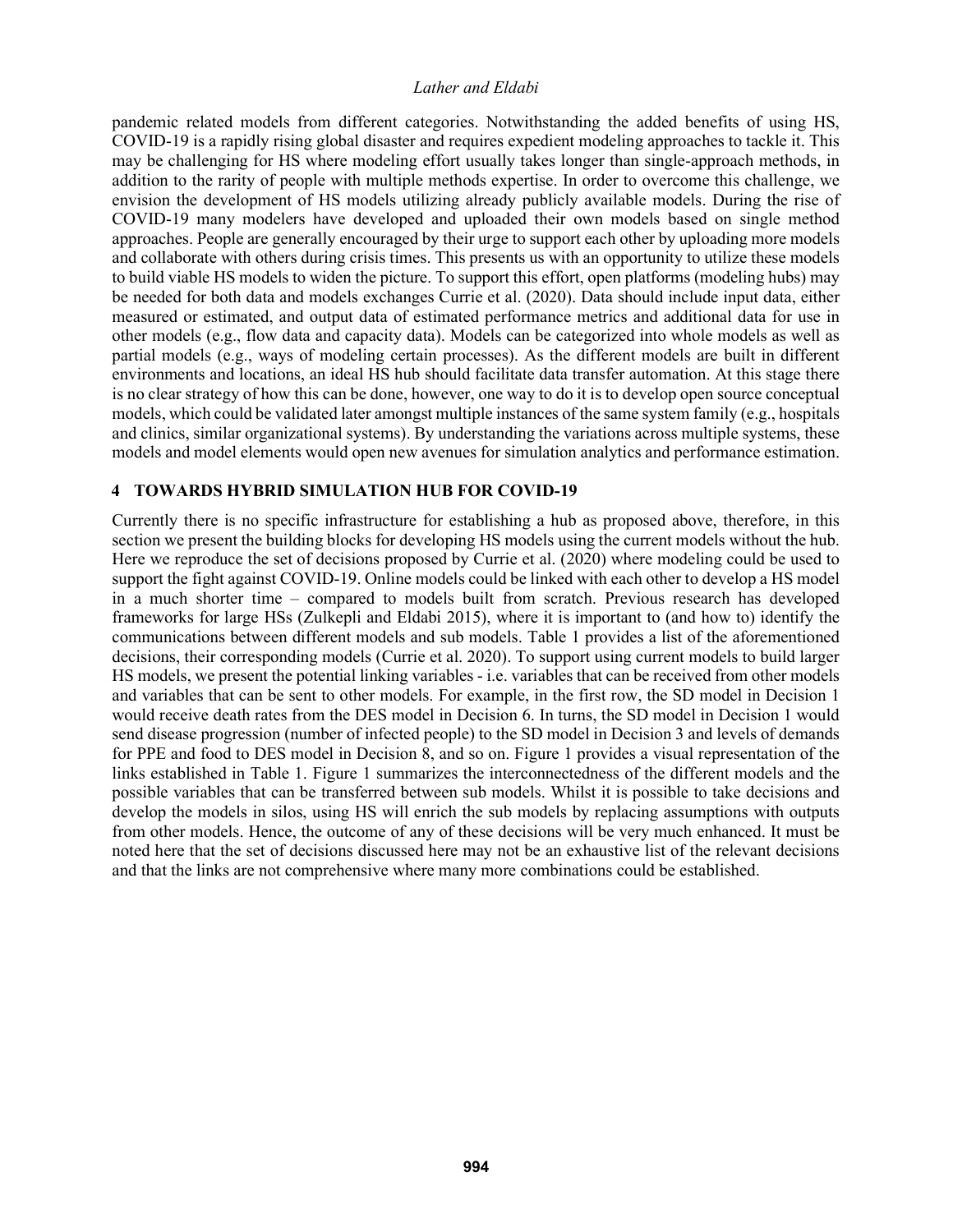pandemic related models from different categories. Notwithstanding the added benefits of using HS, COVID-19 is a rapidly rising global disaster and requires expedient modeling approaches to tackle it. This may be challenging for HS where modeling effort usually takes longer than single-approach methods, in addition to the rarity of people with multiple methods expertise. In order to overcome this challenge, we envision the development of HS models utilizing already publicly available models. During the rise of COVID-19 many modelers have developed and uploaded their own models based on single method approaches. People are generally encouraged by their urge to support each other by uploading more models and collaborate with others during crisis times. This presents us with an opportunity to utilize these models to build viable HS models to widen the picture. To support this effort, open platforms (modeling hubs) may be needed for both data and models exchanges Currie et al. (2020). Data should include input data, either measured or estimated, and output data of estimated performance metrics and additional data for use in other models (e.g., flow data and capacity data). Models can be categorized into whole models as well as partial models (e.g., ways of modeling certain processes). As the different models are built in different environments and locations, an ideal HS hub should facilitate data transfer automation. At this stage there is no clear strategy of how this can be done, however, one way to do it is to develop open source conceptual models, which could be validated later amongst multiple instances of the same system family (e.g., hospitals and clinics, similar organizational systems). By understanding the variations across multiple systems, these models and model elements would open new avenues for simulation analytics and performance estimation.

### 4 TOWARDS HYBRID SIMULATION HUB FOR COVID-19

Currently there is no specific infrastructure for establishing a hub as proposed above, therefore, in this section we present the building blocks for developing HS models using the current models without the hub. Here we reproduce the set of decisions proposed by Currie et al. (2020) where modeling could be used to support the fight against COVID-19. Online models could be linked with each other to develop a HS model in a much shorter time – compared to models built from scratch. Previous research has developed frameworks for large HSs (Zulkepli and Eldabi 2015), where it is important to (and how to) identify the communications between different models and sub models. Table 1 provides a list of the aforementioned decisions, their corresponding models (Currie et al. 2020). To support using current models to build larger HS models, we present the potential linking variables - i.e. variables that can be received from other models and variables that can be sent to other models. For example, in the first row, the SD model in Decision 1 would receive death rates from the DES model in Decision 6. In turns, the SD model in Decision 1 would send disease progression (number of infected people) to the SD model in Decision 3 and levels of demands for PPE and food to DES model in Decision 8, and so on. Figure 1 provides a visual representation of the links established in Table 1. Figure 1 summarizes the interconnectedness of the different models and the possible variables that can be transferred between sub models. Whilst it is possible to take decisions and develop the models in silos, using HS will enrich the sub models by replacing assumptions with outputs from other models. Hence, the outcome of any of these decisions will be very much enhanced. It must be noted here that the set of decisions discussed here may not be an exhaustive list of the relevant decisions and that the links are not comprehensive where many more combinations could be established.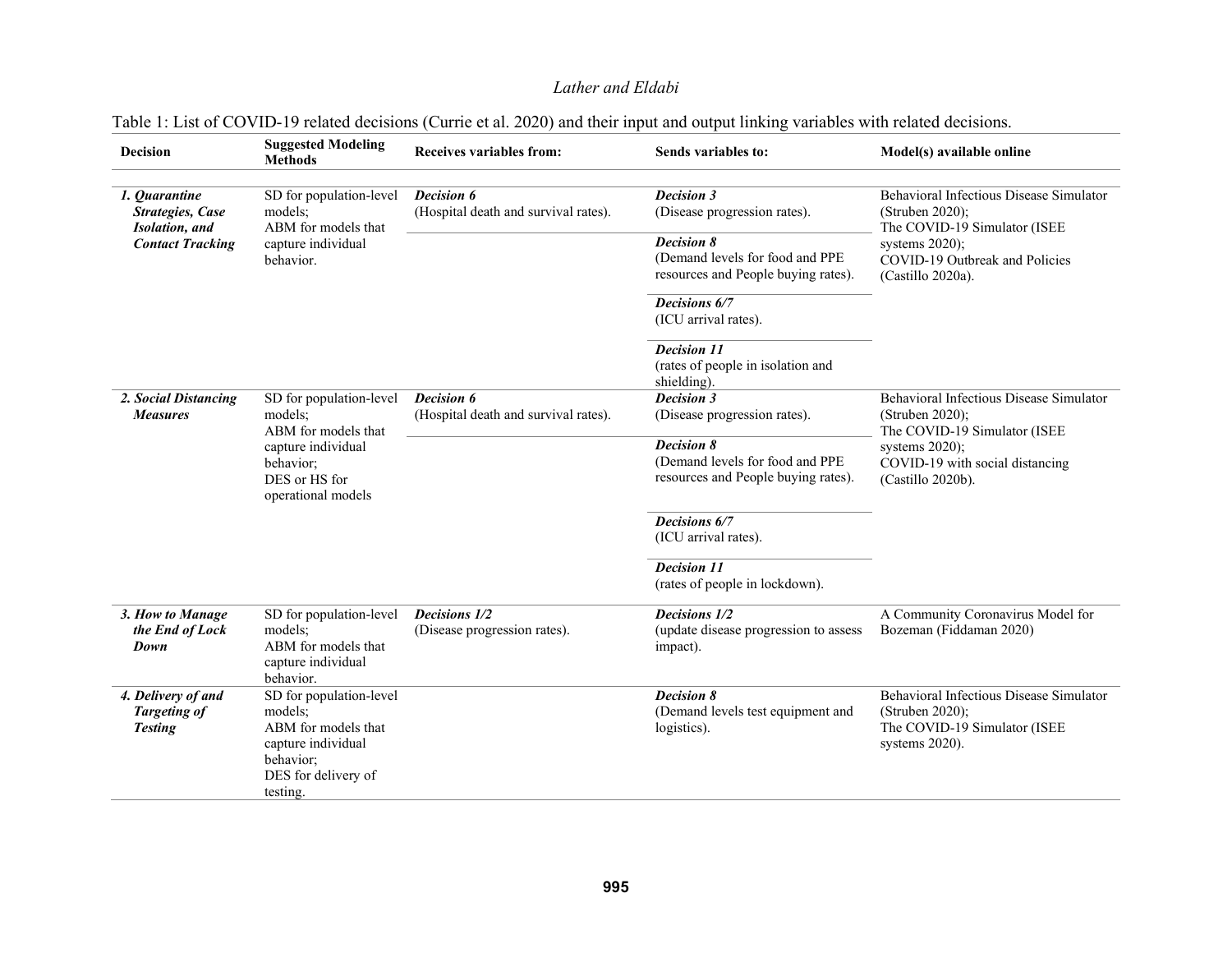|  |  |  | Table 1: List of COVID-19 related decisions (Currie et al. 2020) and their input and output linking variables with related decisions. |
|--|--|--|---------------------------------------------------------------------------------------------------------------------------------------|
|--|--|--|---------------------------------------------------------------------------------------------------------------------------------------|

| <b>Decision</b>                                             | <b>Suggested Modeling</b><br><b>Methods</b>                                                                                         | <b>Receives variables from:</b>                           | Sends variables to:                                                                         | Model(s) available online                                                                                                                                              |
|-------------------------------------------------------------|-------------------------------------------------------------------------------------------------------------------------------------|-----------------------------------------------------------|---------------------------------------------------------------------------------------------|------------------------------------------------------------------------------------------------------------------------------------------------------------------------|
| 1. Quarantine<br><b>Strategies, Case</b>                    | SD for population-level<br>models:                                                                                                  | <b>Decision 6</b><br>(Hospital death and survival rates). | <b>Decision 3</b><br>(Disease progression rates).                                           | Behavioral Infectious Disease Simulator<br>(Struben 2020);                                                                                                             |
| Isolation, and<br><b>Contact Tracking</b>                   | ABM for models that<br>capture individual<br>behavior.                                                                              |                                                           | <b>Decision 8</b><br>(Demand levels for food and PPE<br>resources and People buying rates). | The COVID-19 Simulator (ISEE<br>systems $2020$ ;<br>COVID-19 Outbreak and Policies<br>(Castillo 2020a).                                                                |
|                                                             |                                                                                                                                     |                                                           | Decisions 6/7<br>(ICU arrival rates).                                                       |                                                                                                                                                                        |
|                                                             |                                                                                                                                     |                                                           | <b>Decision 11</b><br>(rates of people in isolation and<br>shielding).                      |                                                                                                                                                                        |
| 2. Social Distancing<br><b>Measures</b>                     | SD for population-level<br>models:<br>ABM for models that<br>capture individual<br>behavior;<br>DES or HS for<br>operational models | Decision 6<br>(Hospital death and survival rates).        | <b>Decision 3</b><br>(Disease progression rates).                                           | Behavioral Infectious Disease Simulator<br>(Struben 2020);<br>The COVID-19 Simulator (ISEE<br>systems $2020$ ;<br>COVID-19 with social distancing<br>(Castillo 2020b). |
|                                                             |                                                                                                                                     |                                                           | <b>Decision 8</b><br>(Demand levels for food and PPE<br>resources and People buying rates). |                                                                                                                                                                        |
|                                                             |                                                                                                                                     |                                                           | Decisions 6/7<br>(ICU arrival rates).                                                       |                                                                                                                                                                        |
|                                                             |                                                                                                                                     |                                                           | <b>Decision 11</b><br>(rates of people in lockdown).                                        |                                                                                                                                                                        |
| 3. How to Manage<br>the End of Lock<br>Down                 | SD for population-level<br>models:<br>ABM for models that<br>capture individual<br>behavior.                                        | Decisions 1/2<br>(Disease progression rates).             | Decisions 1/2<br>(update disease progression to assess<br>impact).                          | A Community Coronavirus Model for<br>Bozeman (Fiddaman 2020)                                                                                                           |
| 4. Delivery of and<br><b>Targeting</b> of<br><b>Testing</b> | SD for population-level<br>models:<br>ABM for models that<br>capture individual<br>behavior;<br>DES for delivery of<br>testing.     |                                                           | <b>Decision 8</b><br>(Demand levels test equipment and<br>logistics).                       | Behavioral Infectious Disease Simulator<br>(Struben 2020);<br>The COVID-19 Simulator (ISEE<br>systems 2020).                                                           |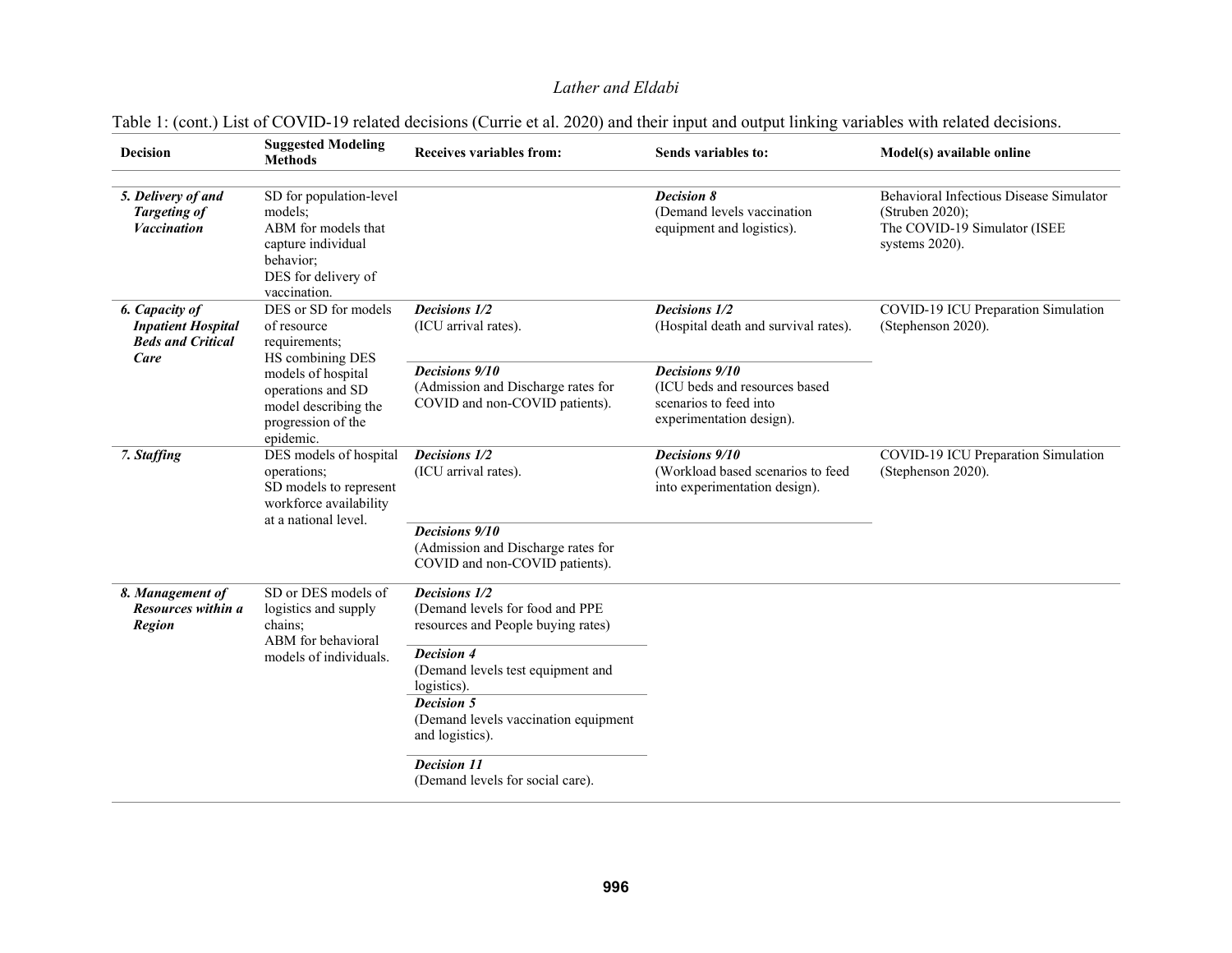| <b>Decision</b>                                                              | <b>Suggested Modeling</b><br><b>Methods</b>                                                                                         | <b>Receives variables from:</b>                                       | Sends variables to:                                                           | Model(s) available online                                                                                    |
|------------------------------------------------------------------------------|-------------------------------------------------------------------------------------------------------------------------------------|-----------------------------------------------------------------------|-------------------------------------------------------------------------------|--------------------------------------------------------------------------------------------------------------|
|                                                                              |                                                                                                                                     |                                                                       |                                                                               |                                                                                                              |
| 5. Delivery of and<br><b>Targeting of</b><br><b>Vaccination</b>              | SD for population-level<br>models:<br>ABM for models that<br>capture individual<br>behavior;<br>DES for delivery of<br>vaccination. |                                                                       | <b>Decision 8</b><br>(Demand levels vaccination)<br>equipment and logistics). | Behavioral Infectious Disease Simulator<br>(Struben 2020);<br>The COVID-19 Simulator (ISEE<br>systems 2020). |
| <b>6.</b> Capacity of                                                        | DES or SD for models                                                                                                                | Decisions 1/2                                                         | Decisions 1/2                                                                 | COVID-19 ICU Preparation Simulation                                                                          |
| <b>Inpatient Hospital</b><br>of resource<br><b>Beds and Critical</b><br>Care | requirements;<br>HS combining DES                                                                                                   | (ICU arrival rates).                                                  | (Hospital death and survival rates).                                          | (Stephenson 2020).                                                                                           |
|                                                                              | models of hospital                                                                                                                  | Decisions 9/10<br>(Admission and Discharge rates for                  | Decisions 9/10<br>(ICU beds and resources based                               |                                                                                                              |
|                                                                              | operations and SD<br>model describing the<br>progression of the<br>epidemic.                                                        | COVID and non-COVID patients).                                        | scenarios to feed into<br>experimentation design).                            |                                                                                                              |
| 7. Staffing                                                                  | DES models of hospital                                                                                                              | Decisions 1/2                                                         | <b>Decisions 9/10</b>                                                         | COVID-19 ICU Preparation Simulation                                                                          |
|                                                                              | operations;<br>SD models to represent<br>workforce availability<br>at a national level.                                             | (ICU arrival rates).                                                  | (Workload based scenarios to feed<br>into experimentation design).            | (Stephenson 2020).                                                                                           |
|                                                                              |                                                                                                                                     | Decisions 9/10                                                        |                                                                               |                                                                                                              |
|                                                                              |                                                                                                                                     | (Admission and Discharge rates for<br>COVID and non-COVID patients).  |                                                                               |                                                                                                              |
| 8. Management of                                                             | SD or DES models of                                                                                                                 | Decisions 1/2                                                         |                                                                               |                                                                                                              |
| Resources within a<br><b>Region</b>                                          | logistics and supply<br>chains;<br>ABM for behavioral<br>models of individuals.                                                     | (Demand levels for food and PPE<br>resources and People buying rates) |                                                                               |                                                                                                              |
|                                                                              |                                                                                                                                     | <b>Decision 4</b><br>(Demand levels test equipment and<br>logistics). |                                                                               |                                                                                                              |
|                                                                              |                                                                                                                                     | <b>Decision 5</b>                                                     |                                                                               |                                                                                                              |
|                                                                              |                                                                                                                                     | (Demand levels vaccination equipment<br>and logistics).               |                                                                               |                                                                                                              |
|                                                                              |                                                                                                                                     | <b>Decision 11</b>                                                    |                                                                               |                                                                                                              |
|                                                                              |                                                                                                                                     | (Demand levels for social care).                                      |                                                                               |                                                                                                              |

# Table 1: (cont.) List of COVID-19 related decisions (Currie et al. 2020) and their input and output linking variables with related decisions.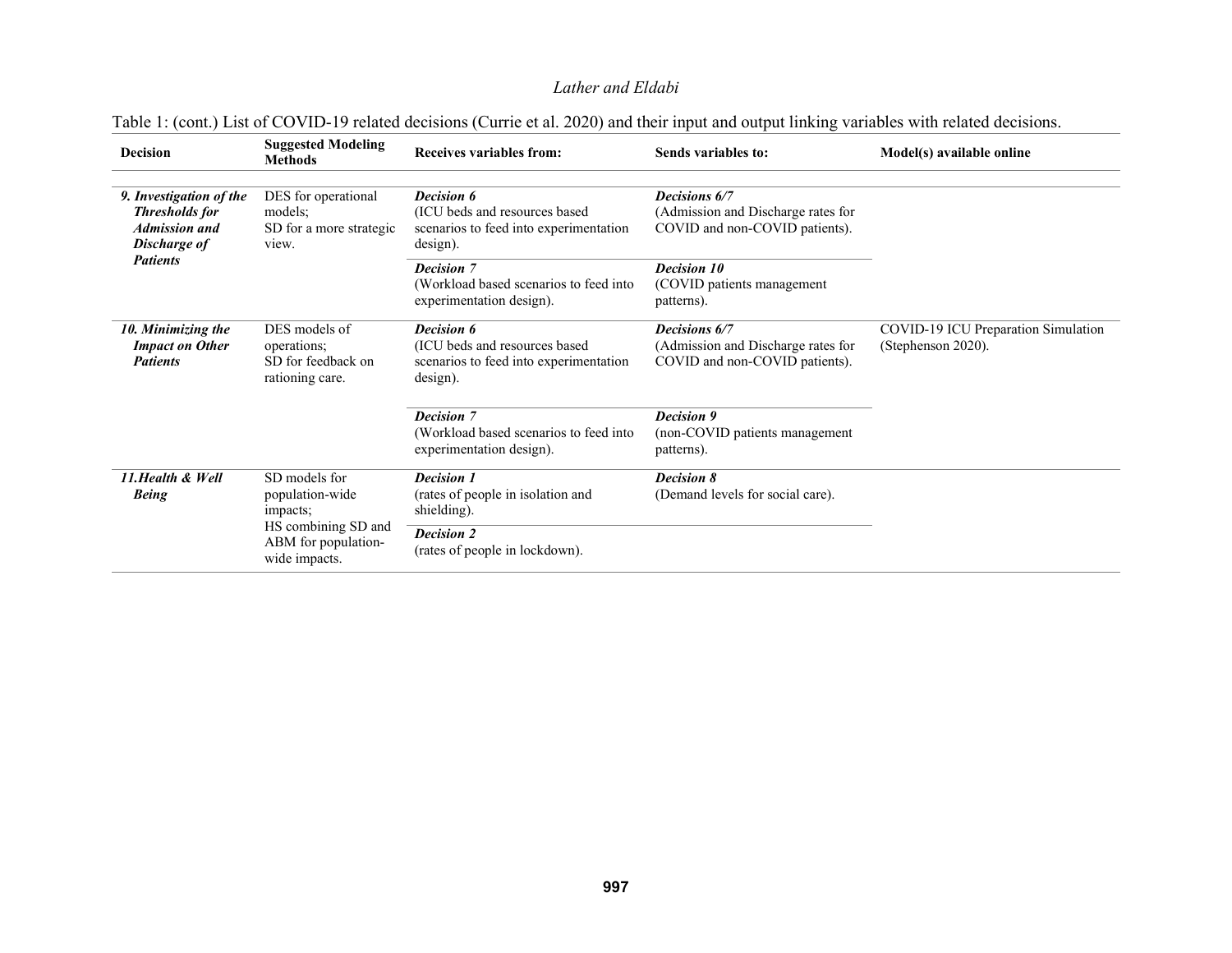| Table 1: (cont.) List of COVID-19 related decisions (Currie et al. 2020) and their input and output linking variables with related decisions. |
|-----------------------------------------------------------------------------------------------------------------------------------------------|
|-----------------------------------------------------------------------------------------------------------------------------------------------|

| <b>Decision</b>                                                                   | <b>Suggested Modeling</b><br><b>Methods</b>                                                                 | Receives variables from:                                                                                  | Sends variables to:                                                                   | Model(s) available online                                 |
|-----------------------------------------------------------------------------------|-------------------------------------------------------------------------------------------------------------|-----------------------------------------------------------------------------------------------------------|---------------------------------------------------------------------------------------|-----------------------------------------------------------|
| 9. Investigation of the<br><b>Thresholds for</b><br>Admission and<br>Discharge of | DES for operational<br>models;<br>SD for a more strategic<br>view.                                          | <b>Decision 6</b><br>(ICU beds and resources based<br>scenarios to feed into experimentation<br>design).  | Decisions 6/7<br>(Admission and Discharge rates for<br>COVID and non-COVID patients). |                                                           |
| <b>Patients</b>                                                                   |                                                                                                             | <b>Decision 7</b><br>(Workload based scenarios to feed into<br>experimentation design).                   | <b>Decision 10</b><br>(COVID patients management<br>patterns).                        |                                                           |
| 10. Minimizing the<br><b>Impact on Other</b><br><b>Patients</b>                   | DES models of<br>operations;<br>SD for feedback on<br>rationing care.                                       | <b>Decision 6</b><br>(ICU beds and resources based)<br>scenarios to feed into experimentation<br>design). | Decisions 6/7<br>(Admission and Discharge rates for<br>COVID and non-COVID patients). | COVID-19 ICU Preparation Simulation<br>(Stephenson 2020). |
|                                                                                   |                                                                                                             | <b>Decision 7</b><br>(Workload based scenarios to feed into<br>experimentation design).                   | <b>Decision 9</b><br>(non-COVID patients management<br>patterns).                     |                                                           |
| 11. Health & Well<br><b>Being</b>                                                 | SD models for<br>population-wide<br>impacts;<br>HS combining SD and<br>ABM for population-<br>wide impacts. | <b>Decision 1</b><br>(rates of people in isolation and<br>shielding).                                     | <b>Decision 8</b><br>(Demand levels for social care).                                 |                                                           |
|                                                                                   |                                                                                                             | <b>Decision 2</b><br>(rates of people in lockdown).                                                       |                                                                                       |                                                           |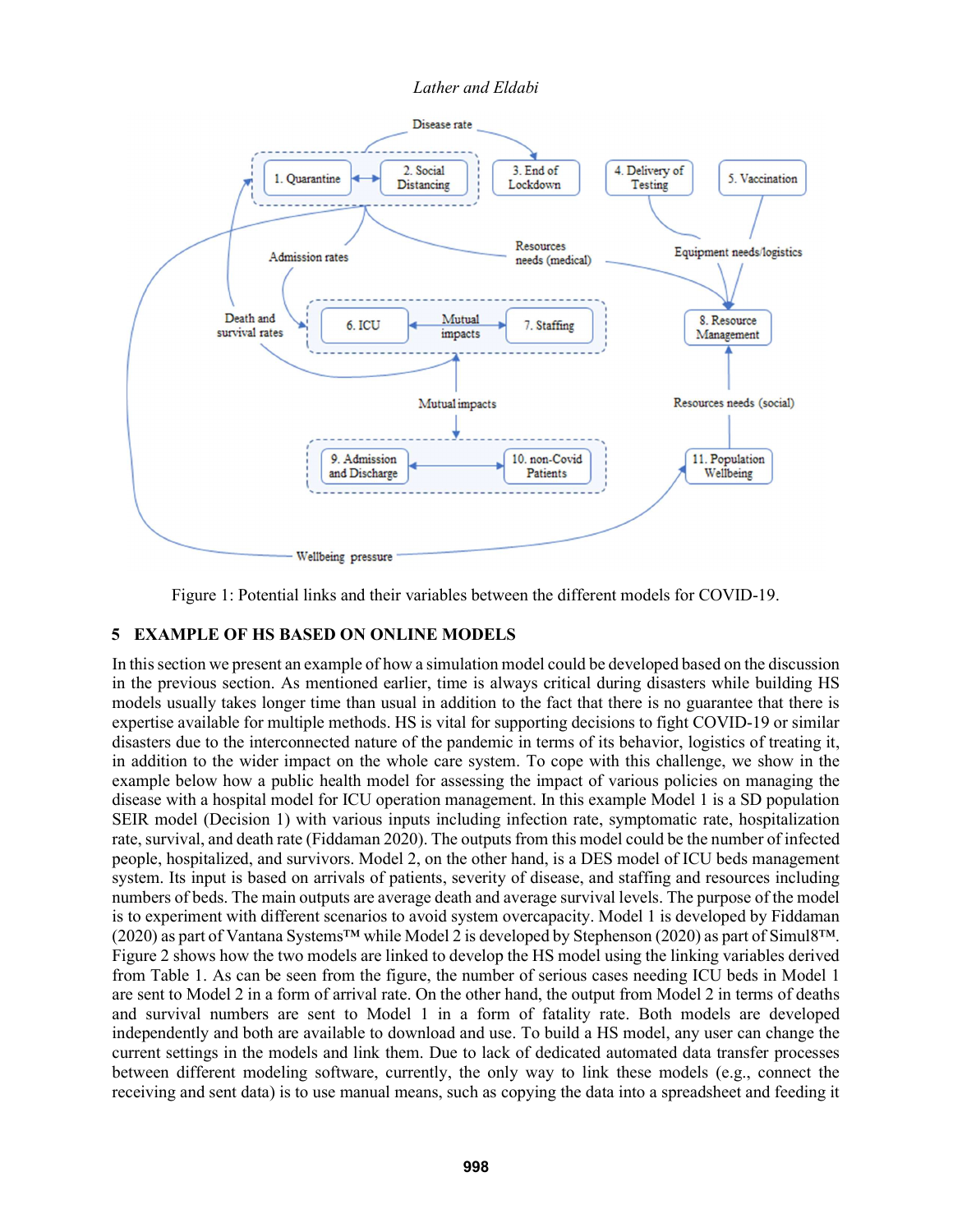

Figure 1: Potential links and their variables between the different models for COVID-19.

## 5 EXAMPLE OF HS BASED ON ONLINE MODELS

In this section we present an example of how a simulation model could be developed based on the discussion in the previous section. As mentioned earlier, time is always critical during disasters while building HS models usually takes longer time than usual in addition to the fact that there is no guarantee that there is expertise available for multiple methods. HS is vital for supporting decisions to fight COVID-19 or similar disasters due to the interconnected nature of the pandemic in terms of its behavior, logistics of treating it, in addition to the wider impact on the whole care system. To cope with this challenge, we show in the example below how a public health model for assessing the impact of various policies on managing the disease with a hospital model for ICU operation management. In this example Model 1 is a SD population SEIR model (Decision 1) with various inputs including infection rate, symptomatic rate, hospitalization rate, survival, and death rate (Fiddaman 2020). The outputs from this model could be the number of infected people, hospitalized, and survivors. Model 2, on the other hand, is a DES model of ICU beds management system. Its input is based on arrivals of patients, severity of disease, and staffing and resources including numbers of beds. The main outputs are average death and average survival levels. The purpose of the model is to experiment with different scenarios to avoid system overcapacity. Model 1 is developed by Fiddaman (2020) as part of Vantana Systems™ while Model 2 is developed by Stephenson (2020) as part of Simul8™. Figure 2 shows how the two models are linked to develop the HS model using the linking variables derived from Table 1. As can be seen from the figure, the number of serious cases needing ICU beds in Model 1 are sent to Model 2 in a form of arrival rate. On the other hand, the output from Model 2 in terms of deaths and survival numbers are sent to Model 1 in a form of fatality rate. Both models are developed independently and both are available to download and use. To build a HS model, any user can change the current settings in the models and link them. Due to lack of dedicated automated data transfer processes between different modeling software, currently, the only way to link these models (e.g., connect the receiving and sent data) is to use manual means, such as copying the data into a spreadsheet and feeding it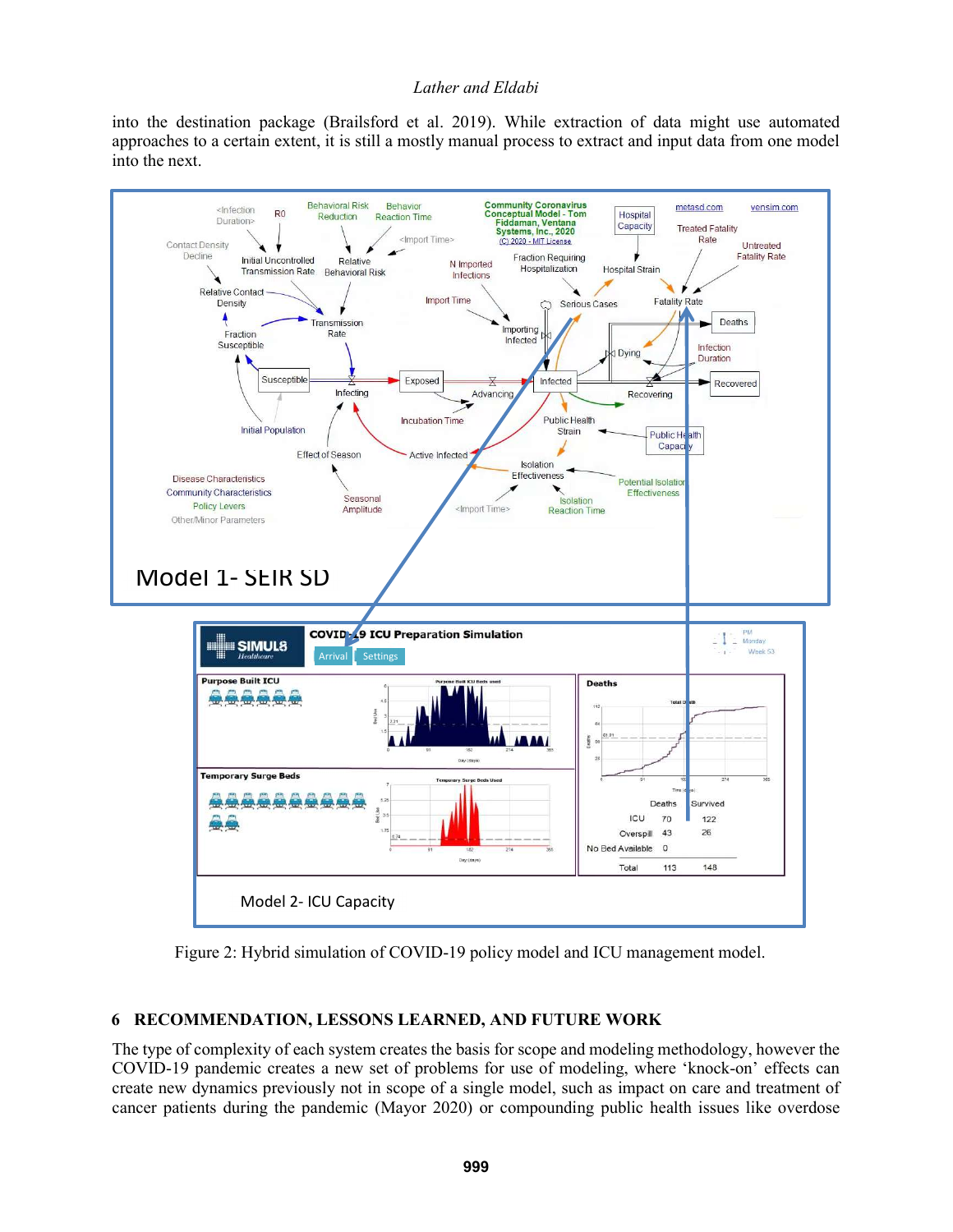into the destination package (Brailsford et al. 2019). While extraction of data might use automated approaches to a certain extent, it is still a mostly manual process to extract and input data from one model into the next.



Figure 2: Hybrid simulation of COVID-19 policy model and ICU management model.

## 6 RECOMMENDATION, LESSONS LEARNED, AND FUTURE WORK

The type of complexity of each system creates the basis for scope and modeling methodology, however the COVID-19 pandemic creates a new set of problems for use of modeling, where 'knock-on' effects can create new dynamics previously not in scope of a single model, such as impact on care and treatment of cancer patients during the pandemic (Mayor 2020) or compounding public health issues like overdose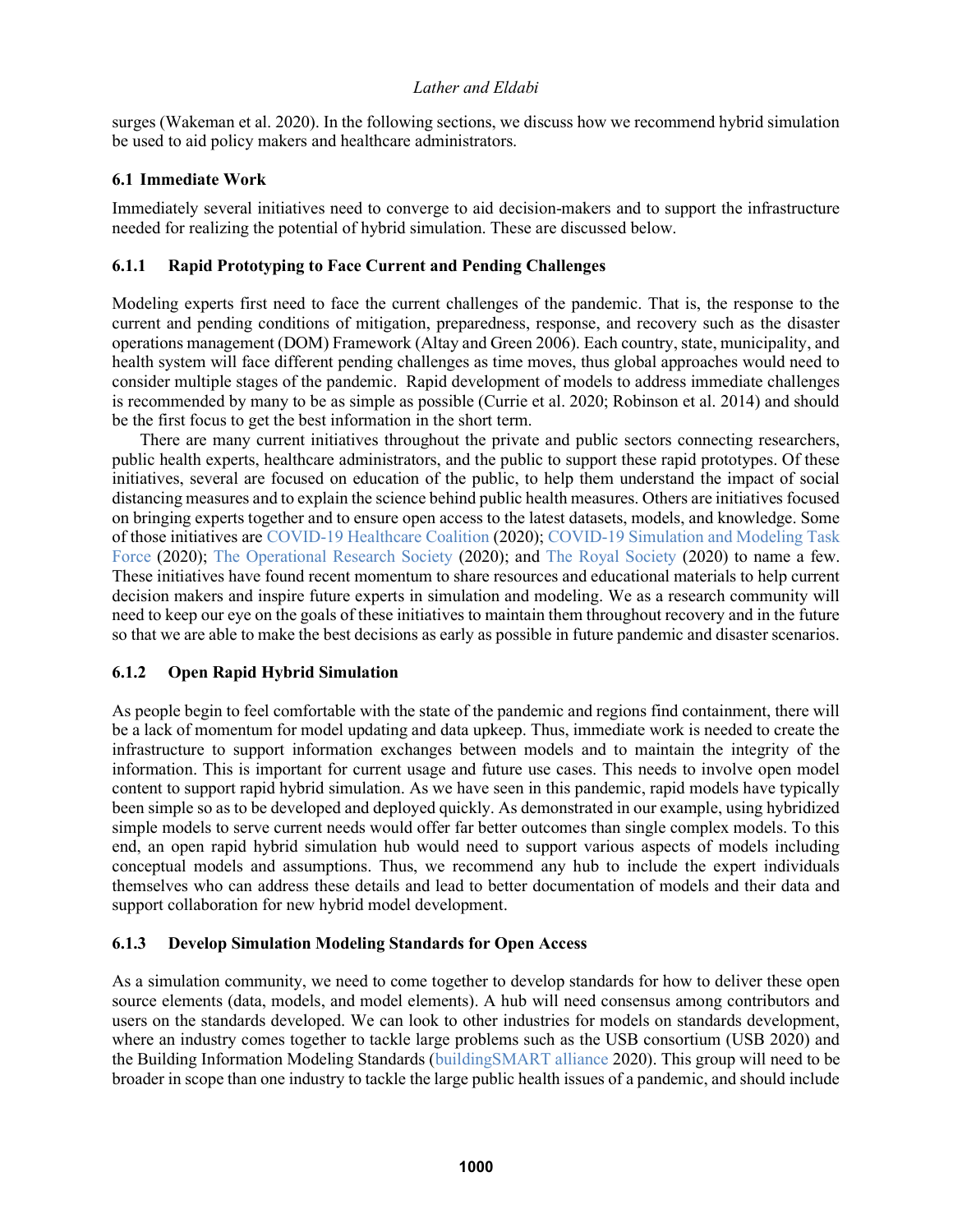surges (Wakeman et al. 2020). In the following sections, we discuss how we recommend hybrid simulation be used to aid policy makers and healthcare administrators.

## 6.1 Immediate Work

Immediately several initiatives need to converge to aid decision-makers and to support the infrastructure needed for realizing the potential of hybrid simulation. These are discussed below.

## 6.1.1 Rapid Prototyping to Face Current and Pending Challenges

Modeling experts first need to face the current challenges of the pandemic. That is, the response to the current and pending conditions of mitigation, preparedness, response, and recovery such as the disaster operations management (DOM) Framework (Altay and Green 2006). Each country, state, municipality, and health system will face different pending challenges as time moves, thus global approaches would need to consider multiple stages of the pandemic. Rapid development of models to address immediate challenges is recommended by many to be as simple as possible (Currie et al. 2020; Robinson et al. 2014) and should be the first focus to get the best information in the short term.

There are many current initiatives throughout the private and public sectors connecting researchers, public health experts, healthcare administrators, and the public to support these rapid prototypes. Of these initiatives, several are focused on education of the public, to help them understand the impact of social distancing measures and to explain the science behind public health measures. Others are initiatives focused on bringing experts together and to ensure open access to the latest datasets, models, and knowledge. Some of those initiatives are COVID-19 Healthcare Coalition (2020); COVID-19 Simulation and Modeling Task Force (2020); The Operational Research Society (2020); and The Royal Society (2020) to name a few. These initiatives have found recent momentum to share resources and educational materials to help current decision makers and inspire future experts in simulation and modeling. We as a research community will need to keep our eye on the goals of these initiatives to maintain them throughout recovery and in the future so that we are able to make the best decisions as early as possible in future pandemic and disaster scenarios.

## 6.1.2 Open Rapid Hybrid Simulation

As people begin to feel comfortable with the state of the pandemic and regions find containment, there will be a lack of momentum for model updating and data upkeep. Thus, immediate work is needed to create the infrastructure to support information exchanges between models and to maintain the integrity of the information. This is important for current usage and future use cases. This needs to involve open model content to support rapid hybrid simulation. As we have seen in this pandemic, rapid models have typically been simple so as to be developed and deployed quickly. As demonstrated in our example, using hybridized simple models to serve current needs would offer far better outcomes than single complex models. To this end, an open rapid hybrid simulation hub would need to support various aspects of models including conceptual models and assumptions. Thus, we recommend any hub to include the expert individuals themselves who can address these details and lead to better documentation of models and their data and support collaboration for new hybrid model development.

## 6.1.3 Develop Simulation Modeling Standards for Open Access

As a simulation community, we need to come together to develop standards for how to deliver these open source elements (data, models, and model elements). A hub will need consensus among contributors and users on the standards developed. We can look to other industries for models on standards development, where an industry comes together to tackle large problems such as the USB consortium (USB 2020) and the Building Information Modeling Standards (buildingSMART alliance 2020). This group will need to be broader in scope than one industry to tackle the large public health issues of a pandemic, and should include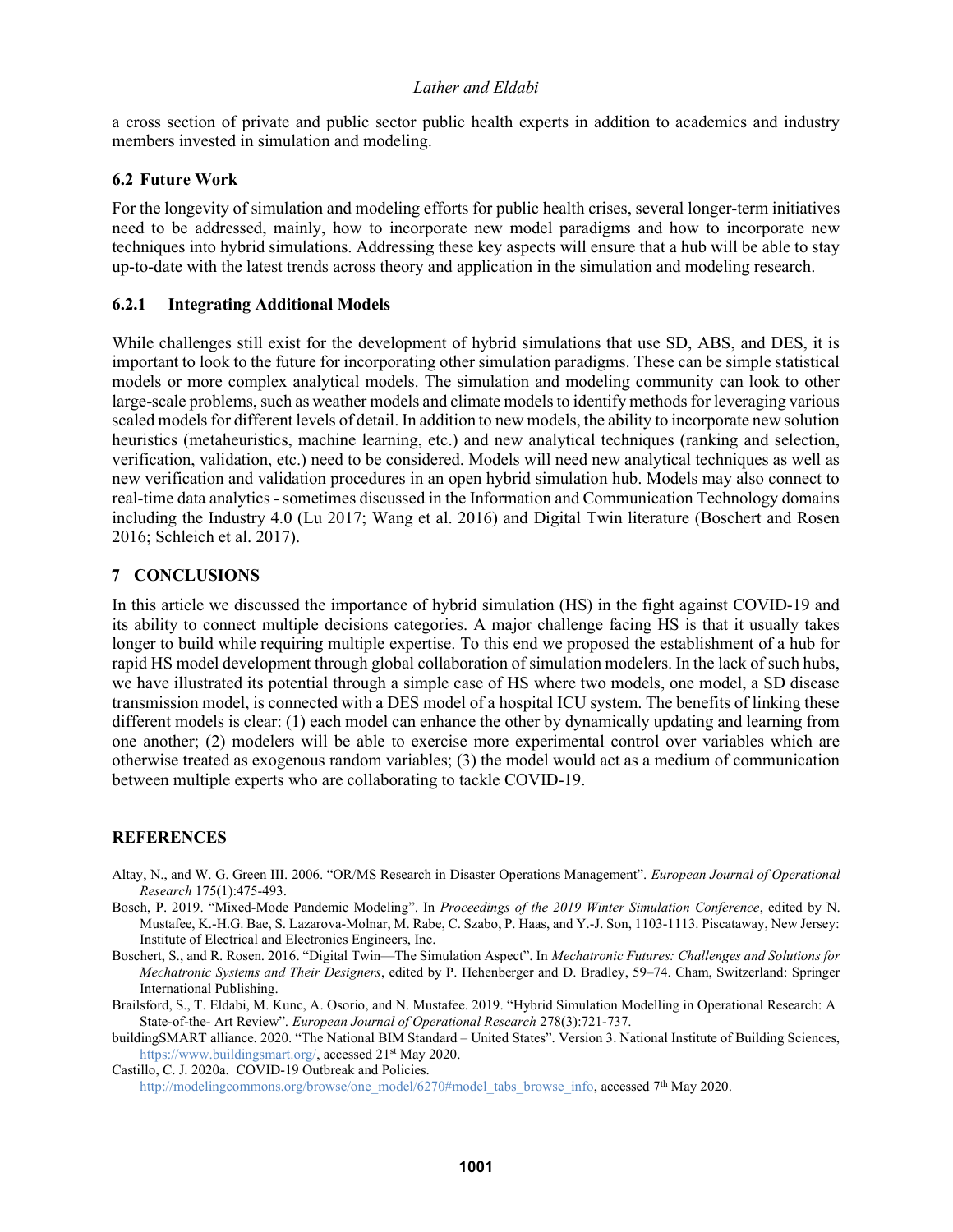a cross section of private and public sector public health experts in addition to academics and industry members invested in simulation and modeling.

#### 6.2 Future Work

For the longevity of simulation and modeling efforts for public health crises, several longer-term initiatives need to be addressed, mainly, how to incorporate new model paradigms and how to incorporate new techniques into hybrid simulations. Addressing these key aspects will ensure that a hub will be able to stay up-to-date with the latest trends across theory and application in the simulation and modeling research.

### 6.2.1 Integrating Additional Models

While challenges still exist for the development of hybrid simulations that use SD, ABS, and DES, it is important to look to the future for incorporating other simulation paradigms. These can be simple statistical models or more complex analytical models. The simulation and modeling community can look to other large-scale problems, such as weather models and climate models to identify methods for leveraging various scaled models for different levels of detail. In addition to new models, the ability to incorporate new solution heuristics (metaheuristics, machine learning, etc.) and new analytical techniques (ranking and selection, verification, validation, etc.) need to be considered. Models will need new analytical techniques as well as new verification and validation procedures in an open hybrid simulation hub. Models may also connect to real-time data analytics - sometimes discussed in the Information and Communication Technology domains including the Industry 4.0 (Lu 2017; Wang et al. 2016) and Digital Twin literature (Boschert and Rosen 2016; Schleich et al. 2017).

### 7 CONCLUSIONS

In this article we discussed the importance of hybrid simulation (HS) in the fight against COVID-19 and its ability to connect multiple decisions categories. A major challenge facing HS is that it usually takes longer to build while requiring multiple expertise. To this end we proposed the establishment of a hub for rapid HS model development through global collaboration of simulation modelers. In the lack of such hubs, we have illustrated its potential through a simple case of HS where two models, one model, a SD disease transmission model, is connected with a DES model of a hospital ICU system. The benefits of linking these different models is clear: (1) each model can enhance the other by dynamically updating and learning from one another; (2) modelers will be able to exercise more experimental control over variables which are otherwise treated as exogenous random variables; (3) the model would act as a medium of communication between multiple experts who are collaborating to tackle COVID-19.

## **REFERENCES**

- Altay, N., and W. G. Green III. 2006. "OR/MS Research in Disaster Operations Management". European Journal of Operational Research 175(1):475-493.
- Bosch, P. 2019. "Mixed-Mode Pandemic Modeling". In Proceedings of the 2019 Winter Simulation Conference, edited by N. Mustafee, K.-H.G. Bae, S. Lazarova-Molnar, M. Rabe, C. Szabo, P. Haas, and Y.-J. Son, 1103-1113. Piscataway, New Jersey: Institute of Electrical and Electronics Engineers, Inc.
- Boschert, S., and R. Rosen. 2016. "Digital Twin—The Simulation Aspect". In Mechatronic Futures: Challenges and Solutions for Mechatronic Systems and Their Designers, edited by P. Hehenberger and D. Bradley, 59–74. Cham, Switzerland: Springer International Publishing.
- Brailsford, S., T. Eldabi, M. Kunc, A. Osorio, and N. Mustafee. 2019. "Hybrid Simulation Modelling in Operational Research: A State-of-the- Art Review". European Journal of Operational Research 278(3):721-737.
- buildingSMART alliance. 2020. "The National BIM Standard United States". Version 3. National Institute of Building Sciences, https://www.buildingsmart.org/, accessed 21<sup>st</sup> May 2020.

Castillo, C. J. 2020a. COVID-19 Outbreak and Policies.

http://modelingcommons.org/browse/one\_model/6270#model\_tabs\_browse\_info, accessed 7<sup>th</sup> May 2020.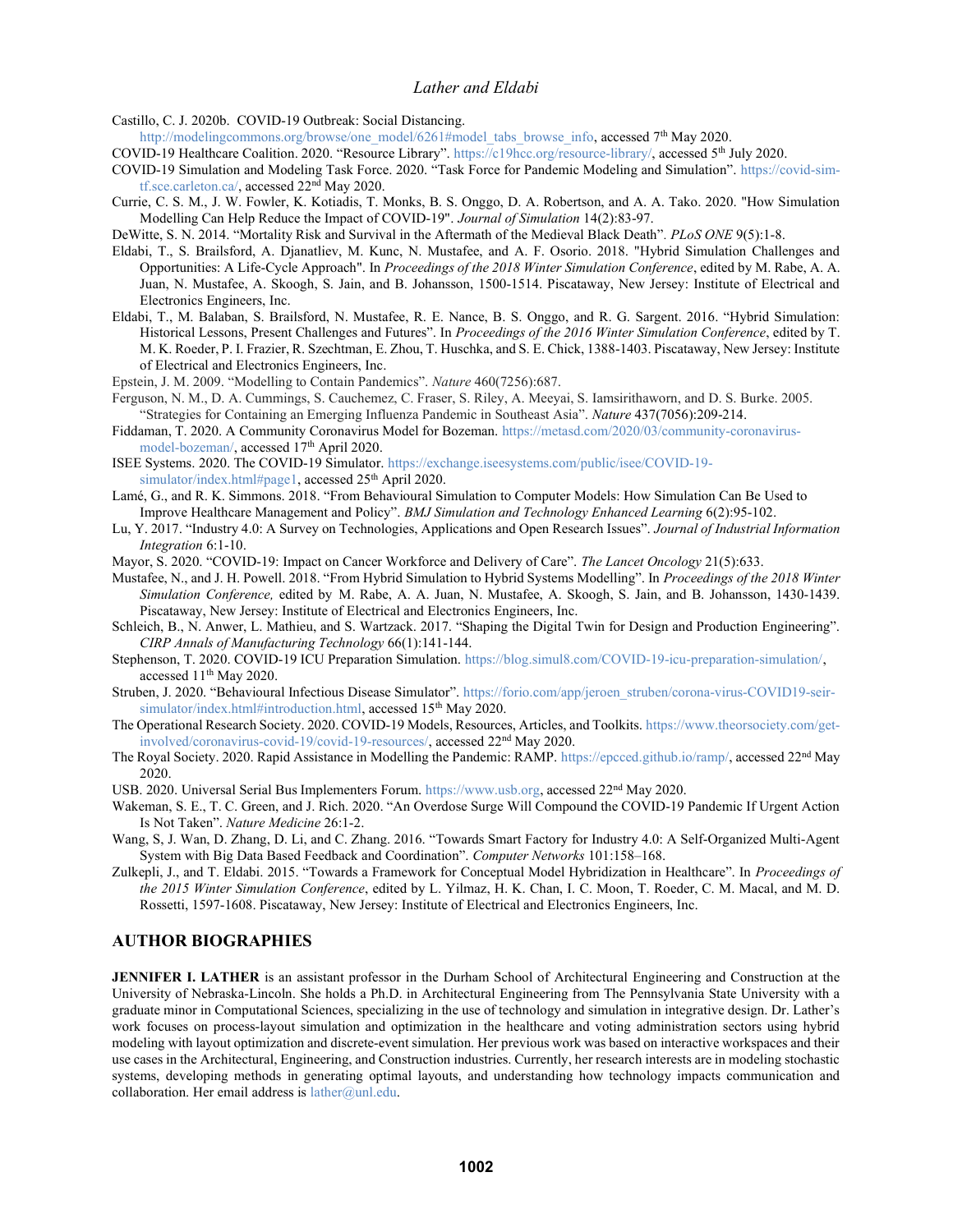Castillo, C. J. 2020b. COVID-19 Outbreak: Social Distancing.

http://modelingcommons.org/browse/one\_model/6261#model\_tabs\_browse\_info, accessed 7<sup>th</sup> May 2020.

COVID-19 Healthcare Coalition. 2020. "Resource Library". https://c19hcc.org/resource-library/, accessed 5th July 2020.

- COVID-19 Simulation and Modeling Task Force. 2020. "Task Force for Pandemic Modeling and Simulation". https://covid-simtf.sce.carleton.ca/, accessed 22nd May 2020.
- Currie, C. S. M., J. W. Fowler, K. Kotiadis, T. Monks, B. S. Onggo, D. A. Robertson, and A. A. Tako. 2020. "How Simulation Modelling Can Help Reduce the Impact of COVID-19". Journal of Simulation 14(2):83-97.
- DeWitte, S. N. 2014. "Mortality Risk and Survival in the Aftermath of the Medieval Black Death". PLoS ONE 9(5):1-8.
- Eldabi, T., S. Brailsford, A. Djanatliev, M. Kunc, N. Mustafee, and A. F. Osorio. 2018. "Hybrid Simulation Challenges and Opportunities: A Life-Cycle Approach". In Proceedings of the 2018 Winter Simulation Conference, edited by M. Rabe, A. A. Juan, N. Mustafee, A. Skoogh, S. Jain, and B. Johansson, 1500-1514. Piscataway, New Jersey: Institute of Electrical and Electronics Engineers, Inc.
- Eldabi, T., M. Balaban, S. Brailsford, N. Mustafee, R. E. Nance, B. S. Onggo, and R. G. Sargent. 2016. "Hybrid Simulation: Historical Lessons, Present Challenges and Futures". In Proceedings of the 2016 Winter Simulation Conference, edited by T. M. K. Roeder, P. I. Frazier, R. Szechtman, E. Zhou, T. Huschka, and S. E. Chick, 1388-1403. Piscataway, New Jersey: Institute of Electrical and Electronics Engineers, Inc.
- Epstein, J. M. 2009. "Modelling to Contain Pandemics". Nature 460(7256):687.
- Ferguson, N. M., D. A. Cummings, S. Cauchemez, C. Fraser, S. Riley, A. Meeyai, S. Iamsirithaworn, and D. S. Burke. 2005. "Strategies for Containing an Emerging Influenza Pandemic in Southeast Asia". Nature 437(7056):209-214.
- Fiddaman, T. 2020. A Community Coronavirus Model for Bozeman. https://metasd.com/2020/03/community-coronavirusmodel-bozeman/, accessed 17<sup>th</sup> April 2020.
- ISEE Systems. 2020. The COVID-19 Simulator. https://exchange.iseesystems.com/public/isee/COVID-19 simulator/index.html#page1, accessed 25<sup>th</sup> April 2020.
- Lamé, G., and R. K. Simmons. 2018. "From Behavioural Simulation to Computer Models: How Simulation Can Be Used to Improve Healthcare Management and Policy". BMJ Simulation and Technology Enhanced Learning 6(2):95-102.
- Lu, Y. 2017. "Industry 4.0: A Survey on Technologies, Applications and Open Research Issues". Journal of Industrial Information Integration 6:1-10.
- Mayor, S. 2020. "COVID-19: Impact on Cancer Workforce and Delivery of Care". The Lancet Oncology 21(5):633.
- Mustafee, N., and J. H. Powell. 2018. "From Hybrid Simulation to Hybrid Systems Modelling". In Proceedings of the 2018 Winter Simulation Conference, edited by M. Rabe, A. A. Juan, N. Mustafee, A. Skoogh, S. Jain, and B. Johansson, 1430-1439. Piscataway, New Jersey: Institute of Electrical and Electronics Engineers, Inc.
- Schleich, B., N. Anwer, L. Mathieu, and S. Wartzack. 2017. "Shaping the Digital Twin for Design and Production Engineering". CIRP Annals of Manufacturing Technology 66(1):141-144.
- Stephenson, T. 2020. COVID-19 ICU Preparation Simulation. https://blog.simul8.com/COVID-19-icu-preparation-simulation/, accessed 11th May 2020.
- Struben, J. 2020. "Behavioural Infectious Disease Simulator". https://forio.com/app/jeroen\_struben/corona-virus-COVID19-seirsimulator/index.html#introduction.html, accessed 15<sup>th</sup> May 2020.
- The Operational Research Society. 2020. COVID-19 Models, Resources, Articles, and Toolkits. https://www.theorsociety.com/getinvolved/coronavirus-covid-19/covid-19-resources/, accessed 22nd May 2020.
- The Royal Society. 2020. Rapid Assistance in Modelling the Pandemic: RAMP. https://epcced.github.io/ramp/, accessed 22nd May 2020.
- USB. 2020. Universal Serial Bus Implementers Forum. https://www.usb.org, accessed 22nd May 2020.
- Wakeman, S. E., T. C. Green, and J. Rich. 2020. "An Overdose Surge Will Compound the COVID-19 Pandemic If Urgent Action Is Not Taken". Nature Medicine 26:1-2.
- Wang, S, J. Wan, D. Zhang, D. Li, and C. Zhang. 2016. "Towards Smart Factory for Industry 4.0: A Self-Organized Multi-Agent System with Big Data Based Feedback and Coordination". Computer Networks 101:158–168.
- Zulkepli, J., and T. Eldabi. 2015. "Towards a Framework for Conceptual Model Hybridization in Healthcare". In Proceedings of the 2015 Winter Simulation Conference, edited by L. Yilmaz, H. K. Chan, I. C. Moon, T. Roeder, C. M. Macal, and M. D. Rossetti, 1597-1608. Piscataway, New Jersey: Institute of Electrical and Electronics Engineers, Inc.

#### AUTHOR BIOGRAPHIES

JENNIFER I. LATHER is an assistant professor in the Durham School of Architectural Engineering and Construction at the University of Nebraska-Lincoln. She holds a Ph.D. in Architectural Engineering from The Pennsylvania State University with a graduate minor in Computational Sciences, specializing in the use of technology and simulation in integrative design. Dr. Lather's work focuses on process-layout simulation and optimization in the healthcare and voting administration sectors using hybrid modeling with layout optimization and discrete-event simulation. Her previous work was based on interactive workspaces and their use cases in the Architectural, Engineering, and Construction industries. Currently, her research interests are in modeling stochastic systems, developing methods in generating optimal layouts, and understanding how technology impacts communication and collaboration. Her email address is lather@unl.edu.